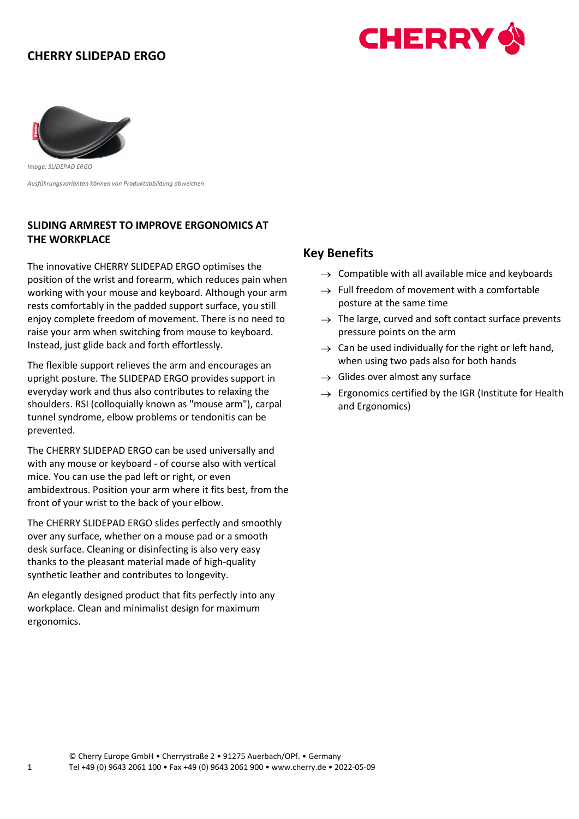# **CHERRY SLIDEPAD ERGO**





*Image: SLIDEPAD ERGO* 

*Ausführungsvarianten können von Produktabbildung abweichen* 

## **SLIDING ARMREST TO IMPROVE ERGONOMICS AT THE WORKPLACE**

The innovative CHERRY SLIDEPAD ERGO optimises the position of the wrist and forearm, which reduces pain when working with your mouse and keyboard. Although your arm rests comfortably in the padded support surface, you still enjoy complete freedom of movement. There is no need to raise your arm when switching from mouse to keyboard. Instead, just glide back and forth effortlessly.

The flexible support relieves the arm and encourages an upright posture. The SLIDEPAD ERGO provides support in everyday work and thus also contributes to relaxing the shoulders. RSI (colloquially known as "mouse arm"), carpal tunnel syndrome, elbow problems or tendonitis can be prevented.

The CHERRY SLIDEPAD ERGO can be used universally and with any mouse or keyboard - of course also with vertical mice. You can use the pad left or right, or even ambidextrous. Position your arm where it fits best, from the front of your wrist to the back of your elbow.

The CHERRY SLIDEPAD ERGO slides perfectly and smoothly over any surface, whether on a mouse pad or a smooth desk surface. Cleaning or disinfecting is also very easy thanks to the pleasant material made of high-quality synthetic leather and contributes to longevity.

An elegantly designed product that fits perfectly into any workplace. Clean and minimalist design for maximum ergonomics.

#### **Key Benefits**

- $\rightarrow$  Compatible with all available mice and keyboards
- $\rightarrow$  Full freedom of movement with a comfortable posture at the same time
- $\rightarrow$  The large, curved and soft contact surface prevents pressure points on the arm
- $\rightarrow$  Can be used individually for the right or left hand, when using two pads also for both hands
- $\rightarrow$  Glides over almost any surface
- $\rightarrow$  Ergonomics certified by the IGR (Institute for Health and Ergonomics)